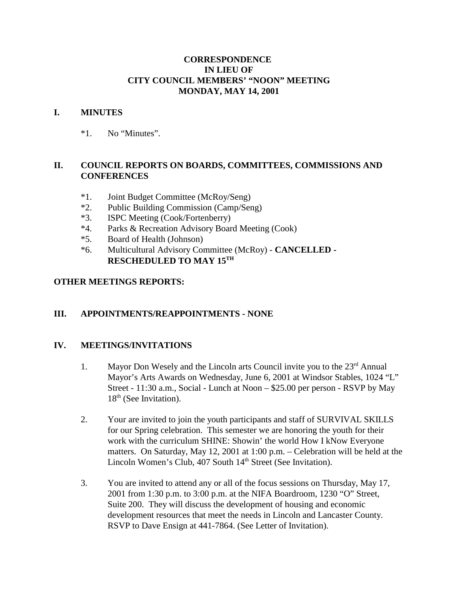### **CORRESPONDENCE IN LIEU OF CITY COUNCIL MEMBERS' "NOON" MEETING MONDAY, MAY 14, 2001**

#### **I. MINUTES**

\*1. No "Minutes".

## **II. COUNCIL REPORTS ON BOARDS, COMMITTEES, COMMISSIONS AND CONFERENCES**

- \*1. Joint Budget Committee (McRoy/Seng)
- \*2. Public Building Commission (Camp/Seng)
- \*3. ISPC Meeting (Cook/Fortenberry)
- \*4. Parks & Recreation Advisory Board Meeting (Cook)
- \*5. Board of Health (Johnson)
- \*6. Multicultural Advisory Committee (McRoy) **CANCELLED - RESCHEDULED TO MAY 15TH**

#### **OTHER MEETINGS REPORTS:**

## **III. APPOINTMENTS/REAPPOINTMENTS - NONE**

#### **IV. MEETINGS/INVITATIONS**

- 1. Mayor Don Wesely and the Lincoln arts Council invite you to the  $23<sup>rd</sup>$  Annual Mayor's Arts Awards on Wednesday, June 6, 2001 at Windsor Stables, 1024 "L" Street - 11:30 a.m., Social - Lunch at Noon – \$25.00 per person - RSVP by May  $18<sup>th</sup>$  (See Invitation).
- 2. Your are invited to join the youth participants and staff of SURVIVAL SKILLS for our Spring celebration. This semester we are honoring the youth for their work with the curriculum SHINE: Showin' the world How I kNow Everyone matters. On Saturday, May 12, 2001 at 1:00 p.m. – Celebration will be held at the Lincoln Women's Club, 407 South 14<sup>th</sup> Street (See Invitation).
- 3. You are invited to attend any or all of the focus sessions on Thursday, May 17, 2001 from 1:30 p.m. to 3:00 p.m. at the NIFA Boardroom, 1230 "O" Street, Suite 200. They will discuss the development of housing and economic development resources that meet the needs in Lincoln and Lancaster County. RSVP to Dave Ensign at 441-7864. (See Letter of Invitation).